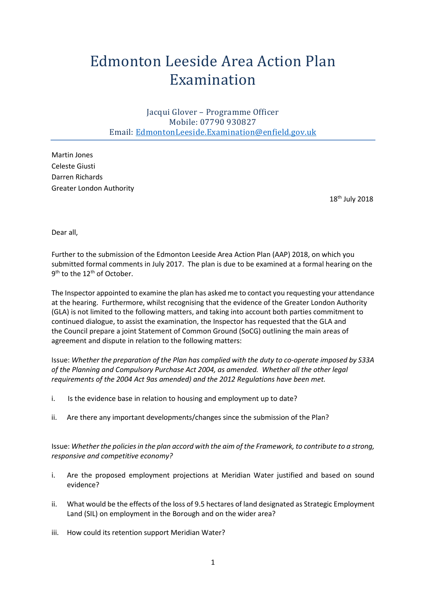## Edmonton Leeside Area Action Plan Examination

Jacqui Glover – Programme Officer Mobile: 07790 930827 Email: [EdmontonLeeside.Examination@enfield.gov.uk](mailto:EdmontonLeeside.Examination@enfield.gov.uk)

Martin Jones Celeste Giusti Darren Richards Greater London Authority

18th July 2018

Dear all,

Further to the submission of the Edmonton Leeside Area Action Plan (AAP) 2018, on which you submitted formal comments in July 2017. The plan is due to be examined at a formal hearing on the 9<sup>th</sup> to the 12<sup>th</sup> of October.

The Inspector appointed to examine the plan has asked me to contact you requesting your attendance at the hearing. Furthermore, whilst recognising that the evidence of the Greater London Authority (GLA) is not limited to the following matters, and taking into account both parties commitment to continued dialogue, to assist the examination, the Inspector has requested that the GLA and the Council prepare a joint Statement of Common Ground (SoCG) outlining the main areas of agreement and dispute in relation to the following matters:

Issue: *Whether the preparation of the Plan has complied with the duty to co-operate imposed by S33A of the Planning and Compulsory Purchase Act 2004, as amended. Whether all the other legal requirements of the 2004 Act 9as amended) and the 2012 Regulations have been met.*

- i. Is the evidence base in relation to housing and employment up to date?
- ii. Are there any important developments/changes since the submission of the Plan?

Issue: *Whether the policies in the plan accord with the aim of the Framework, to contribute to a strong, responsive and competitive economy?* 

- i. Are the proposed employment projections at Meridian Water justified and based on sound evidence?
- ii. What would be the effects of the loss of 9.5 hectares of land designated as Strategic Employment Land (SIL) on employment in the Borough and on the wider area?
- iii. How could its retention support Meridian Water?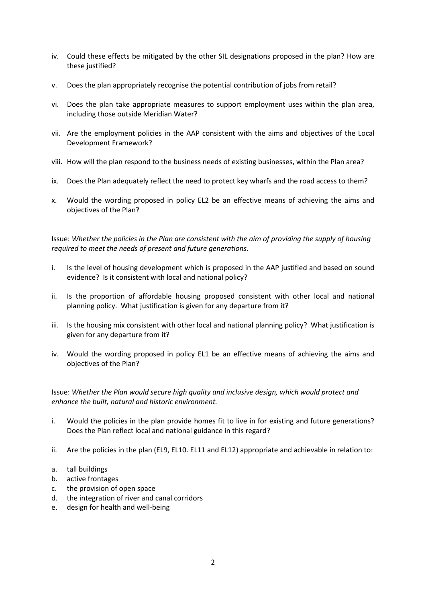- iv. Could these effects be mitigated by the other SIL designations proposed in the plan? How are these justified?
- v. Does the plan appropriately recognise the potential contribution of jobs from retail?
- vi. Does the plan take appropriate measures to support employment uses within the plan area, including those outside Meridian Water?
- vii. Are the employment policies in the AAP consistent with the aims and objectives of the Local Development Framework?
- viii. How will the plan respond to the business needs of existing businesses, within the Plan area?
- ix. Does the Plan adequately reflect the need to protect key wharfs and the road access to them?
- x. Would the wording proposed in policy EL2 be an effective means of achieving the aims and objectives of the Plan?

Issue: *Whether the policies in the Plan are consistent with the aim of providing the supply of housing required to meet the needs of present and future generations.*

- i. Is the level of housing development which is proposed in the AAP justified and based on sound evidence? Is it consistent with local and national policy?
- ii. Is the proportion of affordable housing proposed consistent with other local and national planning policy. What justification is given for any departure from it?
- iii. Is the housing mix consistent with other local and national planning policy? What justification is given for any departure from it?
- iv. Would the wording proposed in policy EL1 be an effective means of achieving the aims and objectives of the Plan?

Issue: *Whether the Plan would secure high quality and inclusive design, which would protect and enhance the built, natural and historic environment.* 

- i. Would the policies in the plan provide homes fit to live in for existing and future generations? Does the Plan reflect local and national guidance in this regard?
- ii. Are the policies in the plan (EL9, EL10. EL11 and EL12) appropriate and achievable in relation to:
- a. tall buildings
- b. active frontages
- c. the provision of open space
- d. the integration of river and canal corridors
- e. design for health and well-being